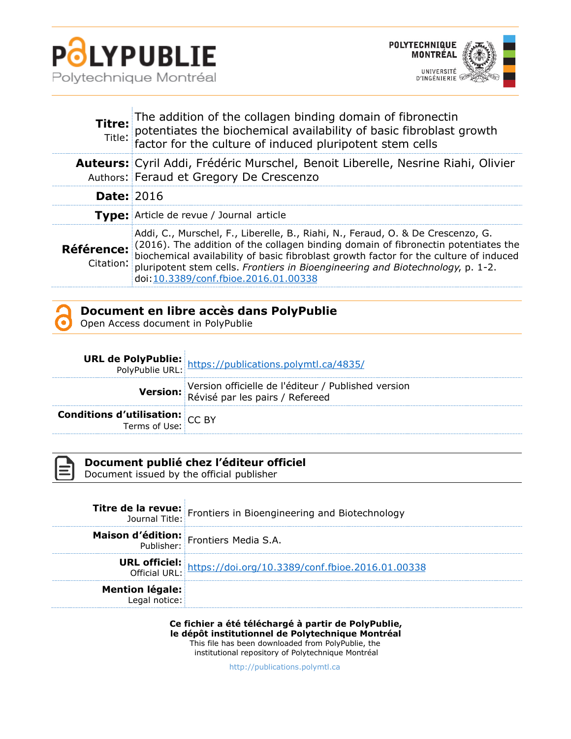



|                         | Titre: The addition of the collagen binding domain of fibronectin<br>potentiates the biochemical availability of basic fibroblast growth<br>factor for the culture of induced pluripotent stem cells                                                                                                                                                                                      |  |
|-------------------------|-------------------------------------------------------------------------------------------------------------------------------------------------------------------------------------------------------------------------------------------------------------------------------------------------------------------------------------------------------------------------------------------|--|
|                         | <b>Auteurs:</b> Cyril Addi, Frédéric Murschel, Benoit Liberelle, Nesrine Riahi, Olivier<br>Authors: Feraud et Gregory De Crescenzo                                                                                                                                                                                                                                                        |  |
| <b>Date: 2016</b>       |                                                                                                                                                                                                                                                                                                                                                                                           |  |
|                         | <b>Type:</b> Article de revue / Journal article                                                                                                                                                                                                                                                                                                                                           |  |
| Référence:<br>Citation: | Addi, C., Murschel, F., Liberelle, B., Riahi, N., Feraud, O. & De Crescenzo, G.<br>(2016). The addition of the collagen binding domain of fibronectin potentiates the<br>biochemical availability of basic fibroblast growth factor for the culture of induced<br>pluripotent stem cells. Frontiers in Bioengineering and Biotechnology, p. 1-2.<br>doi: 10.3389/conf.fbioe.2016.01.00338 |  |

Open Access document in PolyPublie

|                                                                   | <b>URL de PolyPublie:</b> https://publications.polymtl.ca/4835/<br>PolyPublie URL: https://publications.polymtl.ca/4835/ |
|-------------------------------------------------------------------|--------------------------------------------------------------------------------------------------------------------------|
|                                                                   | Version officielle de l'éditeur / Published version<br>Révisé par les pairs / Refereed                                   |
| <b>Conditions d'utilisation:</b> $CC$ BY<br>Terms of Use: $CC$ BY |                                                                                                                          |



**Document publié chez l'éditeur officiel**

Document issued by the official publisher

|                        | <b>Titre de la revue:</b> Frontiers in Bioengineering and Biotechnology<br>Journal Title: |
|------------------------|-------------------------------------------------------------------------------------------|
|                        | Maison d'édition: Frontiers Media S.A.                                                    |
|                        | <b>URL officiel:</b><br>Official URL: https://doi.org/10.3389/conf.fbioe.2016.01.00338    |
| <b>Mention légale:</b> |                                                                                           |

**Ce fichier a été téléchargé à partir de PolyPublie, le dépôt institutionnel de Polytechnique Montréal** This file has been downloaded from PolyPublie, the institutional repository of Polytechnique Montréal

[http://publications.polymtl.ca](http://publications.polymtl.ca/)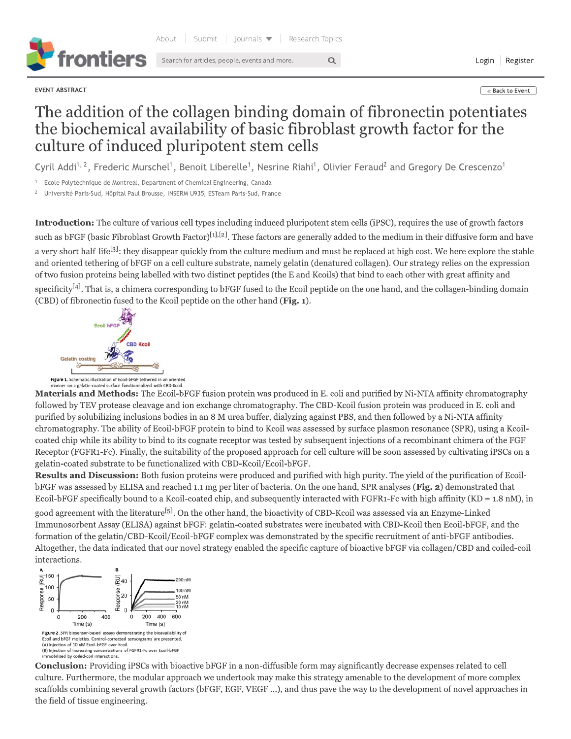

EVENT ABSTRACT

« Back to Event

Login Register

## The addition of the collagen binding domain of fibronectin potentiates the biochemical availability of basic fibroblast growth factor for the culture of induced pluripotent stem cells

 $\alpha$ 

Cyril Addi<sup>1, 2</sup>, Frederic Murschel<sup>1</sup>, Benoit Liberelle<sup>1</sup>, Nesrine Riahi<sup>1</sup>, Olivier Feraud<sup>2</sup> and Gregory De Crescenzo<sup>1</sup>

Ecole Polytechnique de Montreal, Department of Chemical Engineering, Canada

Université Paris-Sud, Hôpital Paul Brousse, INSERM U935, ESTeam Paris-Sud, France

Introduction: The culture of various cell types including induced pluripotent stem cells (iPSC), requires the use of growth factors such as bFGF (basic Fibroblast Growth Factor)<sup>[1],[2]</sup>. These factors are generally added to the medium in their diffusive form and have a very short half-life<sup>[3]</sup>; they disappear quickly from the culture medium and must be replaced at high cost. We here explore the stable and oriented tethering of bFGF on a cell culture substrate, namely gelatin (denatured collagen). Our strategy relies on the expression of two fusion proteins being labelled with two distinct peptides (the E and Kcoils) that bind to each other with great affinity and specificity<sup>[4]</sup>. That is, a chimera corresponding to bFGF fused to the Ecoil peptide on the one hand, and the collagen-binding domain

(CBD) of fibronectin fused to the Kcoil peptide on the other hand (Fig. 1).

gelatin-coated substrate to be functionalized with CBD-Kcoil/Ecoil-bFGF.



n a gelatin-coated surface functio Materials and Methods: The Ecoil-bFGF fusion protein was produced in E. coli and purified by Ni-NTA affinity chromatography followed by TEV protease cleavage and ion exchange chromatography. The CBD-Kcoil fusion protein was produced in E. coli and purified by solubilizing inclusions bodies in an 8 M urea buffer, dialyzing against PBS, and then followed by a Ni-NTA affinity chromatography. The ability of Ecoil-bFGF protein to bind to Kcoil was assessed by surface plasmon resonance (SPR), using a Kcoilcoated chip while its ability to bind to its cognate receptor was tested by subsequent injections of a recombinant chimera of the FGF Receptor (FGFR1-Fc). Finally, the suitability of the proposed approach for cell culture will be soon assessed by cultivating iPSCs on a

**Results and Discussion:** Both fusion proteins were produced and purified with high purity. The yield of the purification of EcoilbFGF was assessed by ELISA and reached 1.1 mg per liter of bacteria. On the one hand, SPR analyses (Fig. 2) demonstrated that Ecoil-bFGF specifically bound to a Kcoil-coated chip, and subsequently interacted with FGFR1-Fc with high affinity (KD =  $1.8 \text{ nM}$ ), in

good agreement with the literature<sup>[5]</sup>. On the other hand, the bioactivity of CBD-Kcoil was assessed via an Enzyme-Linked Immunosorbent Assay (ELISA) against bFGF: gelatin-coated substrates were incubated with CBD-Kcoil then Ecoil-bFGF, and the formation of the gelatin/CBD-Kcoil/Ecoil-bFGF complex was demonstrated by the specific recruitment of anti-bFGF antibodies. Altogether, the data indicated that our novel strategy enabled the specific capture of bioactive bFGF via collagen/CBD and coiled-coil interactions.



**Conclusion:** Providing iPSCs with bioactive bFGF in a non-diffusible form may significantly decrease expenses related to cell culture. Furthermore, the modular approach we undertook may make this strategy amenable to the development of more complex scaffolds combining several growth factors (bFGF, EGF, VEGF ...), and thus pave the way to the development of novel approaches in the field of tissue engineering.